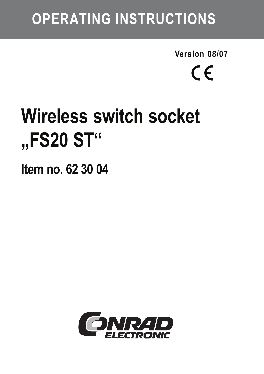## **OPERATING INSTRUCTIONS**

**Version 08/07**  $\epsilon$ 

# **Wireless switch socket "FS20 ST"**

**Item no. 62 30 04**

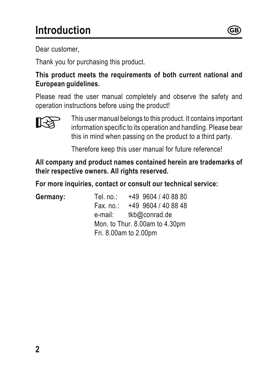Dear customer,

Thank you for purchasing this product.

**This product meets the requirements of both current national and European guidelines.**

Please read the user manual completely and observe the safety and operation instructions before using the product!



 This user manual belongs to this product. It contains important information specific to its operation and handling. Please bear this in mind when passing on the product to a third party.

 $^{\circledR}$ 

Therefore keep this user manual for future reference!

**All company and product names contained herein are trademarks of their respective owners. All rights reserved.**

**For more inquiries, contact or consult our technical service:**

**Germany:** Tel. no.: +49 9604 / 40 88 80  $+49.9604/40.8848$ e-mail: tkb@conrad.de Mon. to Thur. 8.00am to 4.30pm Fri. 8.00am to 2.00pm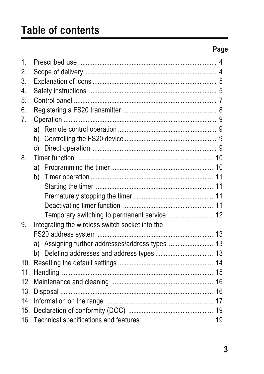#### Page

| $\mathbf{1}$ |                                                  |  |  |
|--------------|--------------------------------------------------|--|--|
| $\mathbf{2}$ |                                                  |  |  |
| 3.           |                                                  |  |  |
| 4.           |                                                  |  |  |
| 5.           |                                                  |  |  |
| 6.           |                                                  |  |  |
| 7.           |                                                  |  |  |
|              |                                                  |  |  |
|              |                                                  |  |  |
|              | c)                                               |  |  |
| 8.           |                                                  |  |  |
|              |                                                  |  |  |
|              |                                                  |  |  |
|              |                                                  |  |  |
|              |                                                  |  |  |
|              |                                                  |  |  |
|              | Temporary switching to permanent service  12     |  |  |
| 9.           | Integrating the wireless switch socket into the  |  |  |
|              |                                                  |  |  |
|              | a) Assigning further addresses/address types  13 |  |  |
|              |                                                  |  |  |
|              |                                                  |  |  |
|              |                                                  |  |  |
|              |                                                  |  |  |
|              |                                                  |  |  |
|              |                                                  |  |  |
|              |                                                  |  |  |
|              |                                                  |  |  |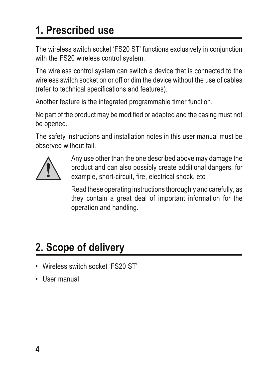### **1. Prescribed use**

The wireless switch socket 'FS20 ST' functions exclusively in conjunction with the FS20 wireless control system.

The wireless control system can switch a device that is connected to the wireless switch socket on or off or dim the device without the use of cables (refer to technical specifications and features).

Another feature is the integrated programmable timer function.

No part of the product may be modified or adapted and the casing must not be opened.

The safety instructions and installation notes in this user manual must be observed without fail.



Any use other than the one described above may damage the product and can also possibly create additional dangers, for example, short-circuit, fire, electrical shock, etc.

Read these operating instructions thoroughly and carefully, as they contain a great deal of important information for the operation and handling.

### **2. Scope of delivery**

- Wireless switch socket 'FS20 ST'
- User manual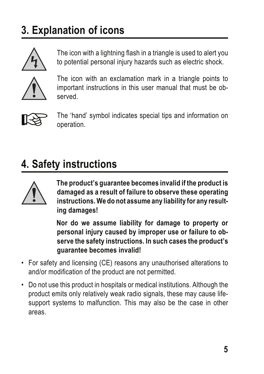### **3. Explanation of icons**



The icon with a lightning flash in a triangle is used to alert you to potential personal injury hazards such as electric shock.



The icon with an exclamation mark in a triangle points to important instructions in this user manual that must be observed.



 The 'hand' symbol indicates special tips and information on operation.

### **4. Safety instructions**



**The product's guarantee becomes invalid if the product is damaged as a result of failure to observe these operating instructions. We do not assume any liability for any resulting damages!**

**Nor do we assume liability for damage to property or personal injury caused by improper use or failure to observe the safety instructions. In such cases the product's guarantee becomes invalid!**

- For safety and licensing (CE) reasons any unauthorised alterations to and/or modification of the product are not permitted.
- Do not use this product in hospitals or medical institutions. Although the product emits only relatively weak radio signals, these may cause lifesupport systems to malfunction. This may also be the case in other areas.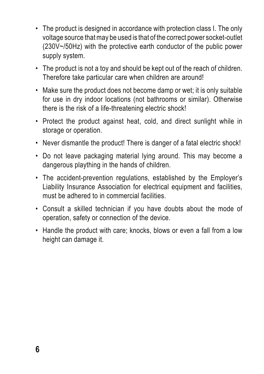- The product is designed in accordance with protection class I. The only voltage source that may be used is that of the correct power socket-outlet (230V~/50Hz) with the protective earth conductor of the public power supply system.
- The product is not a toy and should be kept out of the reach of children. Therefore take particular care when children are around!
- Make sure the product does not become damp or wet; it is only suitable for use in dry indoor locations (not bathrooms or similar). Otherwise there is the risk of a life-threatening electric shock!
- Protect the product against heat, cold, and direct sunlight while in storage or operation.
- Never dismantle the product! There is danger of a fatal electric shock!
- Do not leave packaging material lying around. This may become a dangerous plaything in the hands of children.
- The accident-prevention regulations, established by the Employer's Liability Insurance Association for electrical equipment and facilities, must be adhered to in commercial facilities.
- Consult a skilled technician if you have doubts about the mode of operation, safety or connection of the device.
- Handle the product with care; knocks, blows or even a fall from a low height can damage it.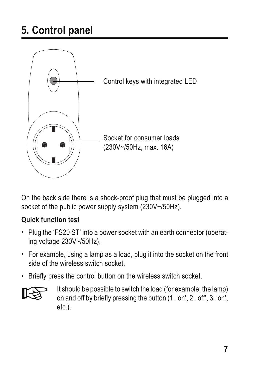

On the back side there is a shock-proof plug that must be plugged into a socket of the public power supply system (230V~/50Hz).

#### **Quick function test**

- Plug the 'FS20 ST' into a power socket with an earth connector (operating voltage 230V~/50Hz).
- For example, using a lamp as a load, plug it into the socket on the front side of the wireless switch socket.
- Briefly press the control button on the wireless switch socket.



It should be possible to switch the load (for example, the lamp)<br>on and off by briefly pressing the button (1. 'on', 2. 'off', 3. 'on',<br>other etc.).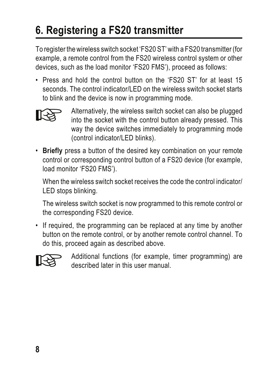### **6. Registering a FS20 transmitter**

To register the wireless switch socket 'FS20 ST' with a FS20 transmitter (for example, a remote control from the FS20 wireless control system or other devices, such as the load monitor 'FS20 FMS'), proceed as follows:

• Press and hold the control button on the 'FS20 ST' for at least 15 seconds. The control indicator/LED on the wireless switch socket starts to blink and the device is now in programming mode.



- Alternatively, the wireless switch socket can also be plugged into the socket with the control button already pressed. This way the device switches immediately to programming mode (control indicator/LED blinks).
- **Briefly** press a button of the desired key combination on your remote control or corresponding control button of a FS20 device (for example, load monitor 'FS20 FMS').

When the wireless switch socket receives the code the control indicator/ LED stops blinking.

The wireless switch socket is now programmed to this remote control or the corresponding FS20 device.

• If required, the programming can be replaced at any time by another button on the remote control, or by another remote control channel. To do this, proceed again as described above.



 Additional functions (for example, timer programming) are described later in this user manual.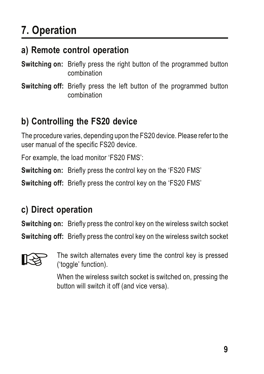### **7. Operation**

#### **a) Remote control operation**

**Switching on:** Briefly press the right button of the programmed button combination

**Switching off:** Briefly press the left button of the programmed button combination

#### **b) Controlling the FS20 device**

The procedure varies, depending upon the FS20 device. Please refer to the user manual of the specific FS20 device.

For example, the load monitor 'FS20 FMS':

**Switching on:** Briefly press the control key on the 'FS20 FMS'

**Switching off:** Briefly press the control key on the 'FS20 FMS'

#### **c) Direct operation**

**Switching on:** Briefly press the control key on the wireless switch socket

**Switching off:** Briefly press the control key on the wireless switch socket



 The switch alternates every time the control key is pressed ('toggle' function).

When the wireless switch socket is switched on, pressing the button will switch it off (and vice versa).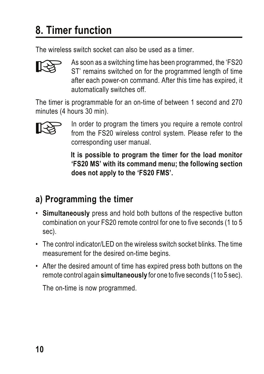### **8. Timer function**

The wireless switch socket can also be used as a timer.



As soon as a switching time has been programmed, the 'FS20<br>ST' remains switched on for the programmed length of time<br>of the cash power on command. After this time has expired if after each power-on command. After this time has expired, it automatically switches off.

The timer is programmable for an on-time of between 1 second and 270 minutes (4 hours 30 min).



In order to program the timers you require a remote control<br>from the FS20 wireless control system. Please refer to the<br>corresponding user manual corresponding user manual.

> **It is possible to program the timer for the load monitor 'FS20 MS' with its command menu; the following section does not apply to the 'FS20 FMS'.**

### **a) Programming the timer**

- **Simultaneously** press and hold both buttons of the respective button combination on your FS20 remote control for one to five seconds (1 to 5 sec).
- The control indicator/LED on the wireless switch socket blinks. The time measurement for the desired on-time begins.
- After the desired amount of time has expired press both buttons on the remote control again **simultaneously** for one to five seconds (1 to 5 sec).

The on-time is now programmed.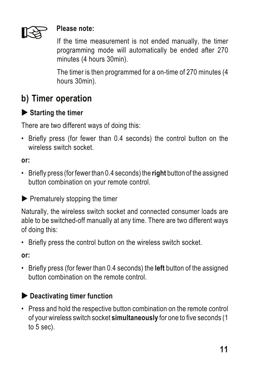

**Please note:**<br>
If the time measurement is not ended manually, the timer programming mode will automatically be ended after 270 minutes (4 hours 30min).

> The timer is then programmed for a on-time of 270 minutes (4 hours 30min).

#### **b) Timer operation**

#### $\blacktriangleright$  **Starting the timer**

There are two different ways of doing this:

• Briefly press (for fewer than 0.4 seconds) the control button on the wireless switch socket.

#### **or:**

• Briefly press (for fewer than 0.4 seconds) the **right** button of the assigned button combination on your remote control.

 $\blacktriangleright$  Prematurely stopping the timer

Naturally, the wireless switch socket and connected consumer loads are able to be switched-off manually at any time. There are two different ways of doing this:

• Briefly press the control button on the wireless switch socket.

**or:**

• Briefly press (for fewer than 0.4 seconds) the **left** button of the assigned button combination on the remote control.

#### X **Deactivating timer function**

• Press and hold the respective button combination on the remote control of your wireless switch socket **simultaneously** for one to five seconds (1 to 5 sec).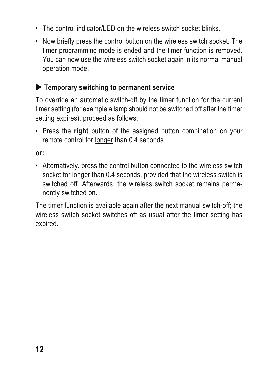- The control indicator/LED on the wireless switch socket blinks.
- Now briefly press the control button on the wireless switch socket. The timer programming mode is ended and the timer function is removed. You can now use the wireless switch socket again in its normal manual operation mode.

#### $\blacktriangleright$  Temporary switching to permanent service

To override an automatic switch-off by the timer function for the current timer setting (for example a lamp should not be switched off after the timer setting expires), proceed as follows:

• Press the **right** button of the assigned button combination on your remote control for longer than 0.4 seconds.

**or:**

• Alternatively, press the control button connected to the wireless switch socket for longer than 0.4 seconds, provided that the wireless switch is switched off. Afterwards, the wireless switch socket remains permanently switched on.

The timer function is available again after the next manual switch-off; the wireless switch socket switches off as usual after the timer setting has expired.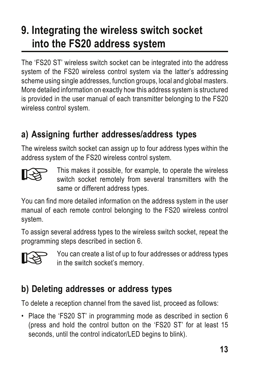### **9. Integrating the wireless switch socket into the FS20 address system**

The 'FS20 ST' wireless switch socket can be integrated into the address system of the FS20 wireless control system via the latter's addressing scheme using single addresses, function groups, local and global masters. More detailed information on exactly how this address system is structured is provided in the user manual of each transmitter belonging to the FS20 wireless control system.

#### **a) Assigning further addresses/address types**

The wireless switch socket can assign up to four address types within the address system of the FS20 wireless control system.



 This makes it possible, for example, to operate the wireless switch socket remotely from several transmitters with the same or different address types.

You can find more detailed information on the address system in the user manual of each remote control belonging to the FS20 wireless control system.

To assign several address types to the wireless switch socket, repeat the programming steps described in section 6.



 You can create a list of up to four addresses or address types in the switch socket's memory.

#### **b) Deleting addresses or address types**

To delete a reception channel from the saved list, proceed as follows:

• Place the 'FS20 ST' in programming mode as described in section 6 (press and hold the control button on the 'FS20 ST' for at least 15 seconds, until the control indicator/LED begins to blink).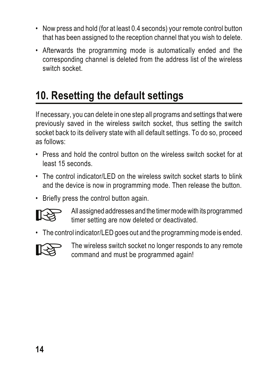- Now press and hold (for at least 0.4 seconds) your remote control button that has been assigned to the reception channel that you wish to delete.
- Afterwards the programming mode is automatically ended and the corresponding channel is deleted from the address list of the wireless switch socket.

### **10. Resetting the default settings**

If necessary, you can delete in one step all programs and settings that were previously saved in the wireless switch socket, thus setting the switch socket back to its delivery state with all default settings. To do so, proceed as follows:

- Press and hold the control button on the wireless switch socket for at least 15 seconds.
- The control indicator/LED on the wireless switch socket starts to blink and the device is now in programming mode. Then release the button.
- Briefly press the control button again.



 All assigned addresses and the timer mode with its programmed timer setting are now deleted or deactivated.

• The control indicator/LED goes out and the programming mode is ended.



 The wireless switch socket no longer responds to any remote command and must be programmed again!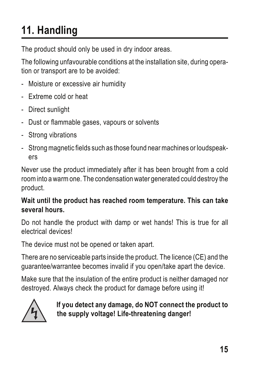### **11. Handling**

The product should only be used in dry indoor areas.

The following unfavourable conditions at the installation site, during operation or transport are to be avoided:

- Moisture or excessive air humidity
- Extreme cold or heat
- Direct sunlight
- Dust or flammable gases, vapours or solvents
- Strong vibrations
- Strong magnetic fields such as those found near machines or loudspeakers

Never use the product immediately after it has been brought from a cold room into a warm one. The condensation water generated could destroy the product.

#### **Wait until the product has reached room temperature. This can take several hours.**

Do not handle the product with damp or wet hands! This is true for all electrical devices!

The device must not be opened or taken apart.

There are no serviceable parts inside the product. The licence (CE) and the guarantee/warrantee becomes invalid if you open/take apart the device.

Make sure that the insulation of the entire product is neither damaged nor destroyed. Always check the product for damage before using it!



**If you detect any damage, do NOT connect the product to the supply voltage! Life-threatening danger!**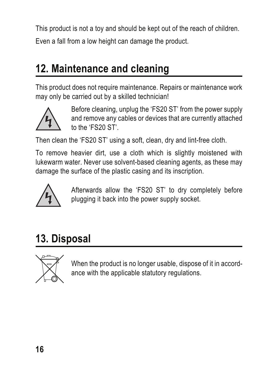This product is not a toy and should be kept out of the reach of children. Even a fall from a low height can damage the product.

### **12. Maintenance and cleaning**

This product does not require maintenance. Repairs or maintenance work may only be carried out by a skilled technician!



Before cleaning, unplug the 'FS20 ST' from the power supply and remove any cables or devices that are currently attached to the 'FS20 ST'.

Then clean the 'FS20 ST' using a soft, clean, dry and lint-free cloth.

To remove heavier dirt, use a cloth which is slightly moistened with lukewarm water. Never use solvent-based cleaning agents, as these may damage the surface of the plastic casing and its inscription.



Afterwards allow the 'FS20 ST' to dry completely before plugging it back into the power supply socket.

### **13. Disposal**



When the product is no longer usable, dispose of it in accord- ance with the applicable statutory regulations.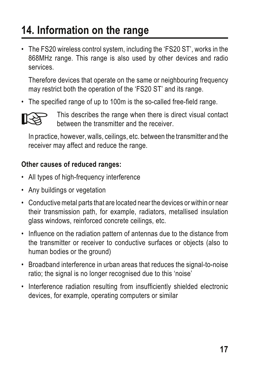### **14. Information on the range**

• The FS20 wireless control system, including the 'FS20 ST', works in the 868MHz range. This range is also used by other devices and radio services.

Therefore devices that operate on the same or neighbouring frequency may restrict both the operation of the 'FS20 ST' and its range.

• The specified range of up to 100m is the so-called free-field range.



This describes the range when there is direct visual contact between the transmitter and the receiver.

In practice, however, walls, ceilings, etc. between the transmitter and the receiver may affect and reduce the range.

#### **Other causes of reduced ranges:**

- All types of high-frequency interference
- Any buildings or vegetation
- Conductive metal parts that are located near the devices or within or near their transmission path, for example, radiators, metallised insulation glass windows, reinforced concrete ceilings, etc.
- Influence on the radiation pattern of antennas due to the distance from the transmitter or receiver to conductive surfaces or objects (also to human bodies or the ground)
- Broadband interference in urban areas that reduces the signal-to-noise ratio: the signal is no longer recognised due to this 'noise'
- Interference radiation resulting from insufficiently shielded electronic devices, for example, operating computers or similar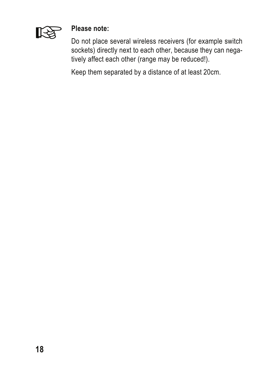

#### **Please note:**

Do not place several wireless receivers (for example switch sockets) directly next to each other, because they can negatively affect each other (range may be reduced!).

Keep them separated by a distance of at least 20cm.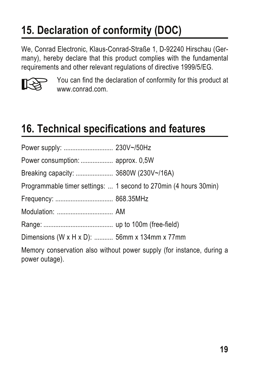### **15. Declaration of conformity (DOC)**

We, Conrad Electronic, Klaus-Conrad-Straße 1, D-92240 Hirschau (Germany), hereby declare that this product complies with the fundamental requirements and other relevant regulations of directive 1999/5/EG.



You can find the declaration of conformity for this product at www.conrad.com.

### **16. Technical specifications and features**

| Breaking capacity:  3680W (230V~/16A)                                                   |                                                                  |  |  |
|-----------------------------------------------------------------------------------------|------------------------------------------------------------------|--|--|
|                                                                                         | Programmable timer settings:  1 second to 270min (4 hours 30min) |  |  |
|                                                                                         |                                                                  |  |  |
|                                                                                         |                                                                  |  |  |
|                                                                                         |                                                                  |  |  |
| Dimensions (W x H x D):  56mm x 134mm x 77mm                                            |                                                                  |  |  |
| Memory conservation also without power supply (for instance, during a<br>power outage). |                                                                  |  |  |